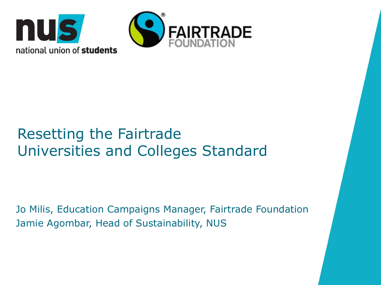



### Resetting the Fairtrade Universities and Colleges Standard

Jo Milis, Education Campaigns Manager, Fairtrade Foundation Jamie Agombar, Head of Sustainability, NUS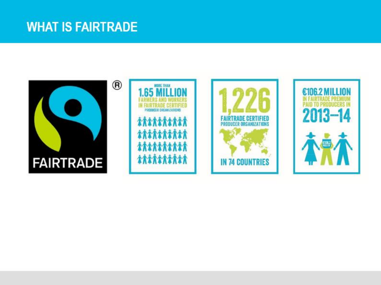### WHAT IS FAIRTRADE

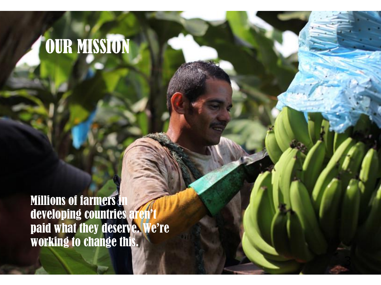# OUR MISSION

Millions of farmers in developing countries aren't paid what they deserve. We're working to change this.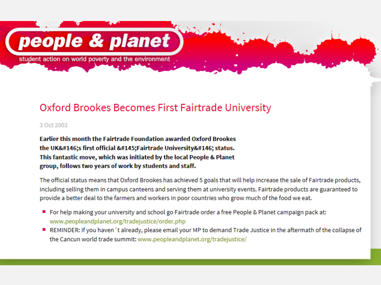## people & planet

student action on world poverty and the environment

### Oxford Brookes Becomes First Fairtrade University

#### 3 Oct 2003

**Farlier this month the Fairtrade Foundation awarded Oxford Brookes** the UK's first official 'Fairtrade University' status. This fantastic move, which was initiated by the local People & Planet group, follows two years of work by students and staff.

The official status means that Oxford Brookes has achieved 5 goals that will help increase the sale of Fairtrade products, including selling them in campus canteens and serving them at university events. Fairtrade products are guaranteed to provide a better deal to the farmers and workers in poor countries who grow much of the food we eat.

- For help making your university and school go Fairtrade order a free People & Planet campaign pack at: www.peopleandplanet.org/tradejustice/order.php
- REMINDER: If you haven 't already, please email your MP to demand Trade Justice in the aftermath of the collapse of the Cancun world trade summit: www.peopleandplanet.org/tradejustice/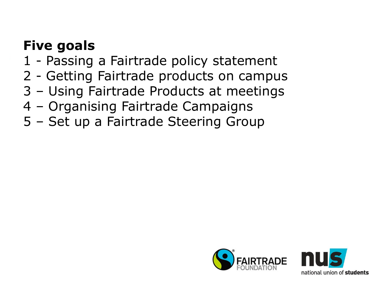### **Five goals**

- 1 Passing a Fairtrade policy statement
- 2 Getting Fairtrade products on campus
- 3 Using Fairtrade Products at meetings
- 4 Organising Fairtrade Campaigns
- 5 Set up a Fairtrade Steering Group



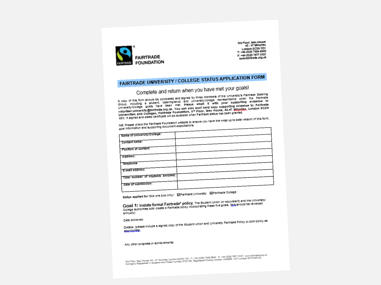

3rd Floor, Ibex House<br>42 - 47 Minories London ECSN 1DY T: +44 (0)20 7406 6842 F: +44 (0)20 7877 0101 www.fairtrade.org.uk

### FAIRTRADE UNIVERSITY / COLLEGE STATUS APPLICATION FORM

Complete and return when you have met your goals!

A copy of this form should be completed and signed by three members of the University's Fairtrade Bisering A copy of the numerican be complexed and signed by exist members of the chinesiant's naturale executive<br>Group, including is student, catering/shop and university/college representative when the Fairtrade enoup, moderny a sourche, calering-shop and university/completellights-schools when the Familysoc<br>University/College goals have been met. Please email it with your supporting evidence to voluntaer, university graintrade.org.uk. You can also post hard oopy supporting evidence to: Fairtrade volumeer.university@fairtrade.org.uk. Tou can also post hard oupy supporting evidence to. Fairwave<br>Universities and Colleges, Fairtrade Foundation, 3'4 Floor, Ibex House, 42.47 <mark>Migorias,</mark> London EC3N emmersions care compute, remused reconcerning on racing next measure, e.c. appears.<br>1DY, A signed and dated certificate will be awarded when Fairtrade status has been granted.

NB: Please check the Fairtrade Foundation website to ensure you have the most up to date version of this form,

goal information and supporting document expectations.

| Name of University/College:        |  |
|------------------------------------|--|
| Contact name:                      |  |
|                                    |  |
| Position of contact:               |  |
| Address:                           |  |
| Telephone                          |  |
|                                    |  |
| E-mail address:                    |  |
| Total number of students enrolled: |  |
| Date of submission:                |  |
|                                    |  |

atatus applied for (tick one box only): 国Fairtrade University 国Fairtrade College

Goal 1: Instate formal Fairtrade\* policy. The Student Union (or equivalent) and the University/<br>College authorities both create a Fairtrade policy incorporating these five goals. (this should be reviewed annually)

Details: (please include a signed copy of the Student Union and University Fairtrade Policy or joint policy as

approaching)

Any other progress or achievements:

3rd Floor, Ibac House, 42 - 47 Minories, London EC3N 1DY, T: 444 (0)20 7405 5942 F: 444 (0)20 7977 0101 www.fairtrade.org.uk<br>Company Ragislaned in England and Wales number 2723138. Ragislaned Charly number 1043335. VAT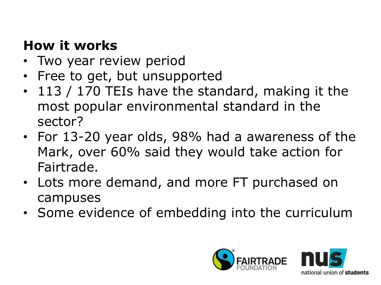### **How it works**

- Two year review period
- Free to get, but unsupported
- 113 / 170 TEIs have the standard, making it the most popular environmental standard in the sector?
- For 13-20 year olds, 98% had a awareness of the Mark, over 60% said they would take action for Fairtrade.
- Lots more demand, and more FT purchased on campuses
- Some evidence of embedding into the curriculum



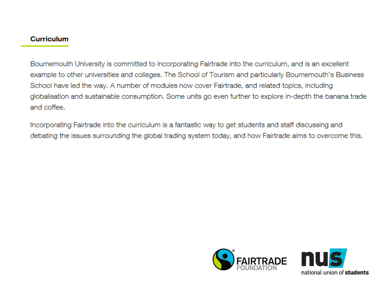#### **Curriculum**

Bournemouth University is committed to incorporating Fairtrade into the curriculum, and is an excellent example to other universities and colleges. The School of Tourism and particularly Bournemouth's Business School have led the way. A number of modules now cover Fairtrade, and related topics, including globalisation and sustainable consumption. Some units go even further to explore in-depth the banana trade and coffee.

Incorporating Fairtrade into the curriculum is a fantastic way to get students and staff discussing and debating the issues surrounding the global trading system today, and how Fairtrade aims to overcome this.



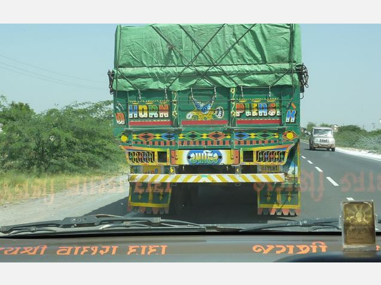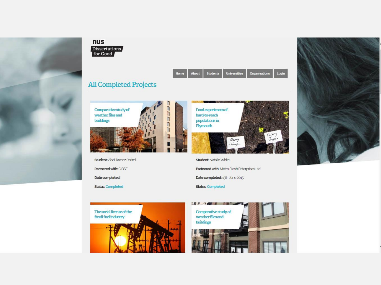

| <b>nus</b><br>Dissertations<br>for Good                |        |              |                                                                    |                       |                      |        |
|--------------------------------------------------------|--------|--------------|--------------------------------------------------------------------|-----------------------|----------------------|--------|
|                                                        | Home   | <b>About</b> | <b>Students</b>                                                    | <b>Universities</b>   | <b>Organisations</b> | Login  |
| <b>All Completed Projects</b>                          |        |              |                                                                    |                       |                      |        |
| Comparative study of<br>weather files and<br>buildings | D<br>þ |              | Food experiences of<br>hard-to-reach<br>populations in<br>Plymouth | Celory<br>$- Tango -$ | Celery               | Janga- |
| Student: Abdulazeez Rotimi                             |        |              | <b>Student: Natalie White</b>                                      |                       |                      |        |

Partnered with: CIBSE

Date completed:

All<sup>(</sup>

**Status: Completed** 



Date completed: 13th June 2015

**Status: Completed** 





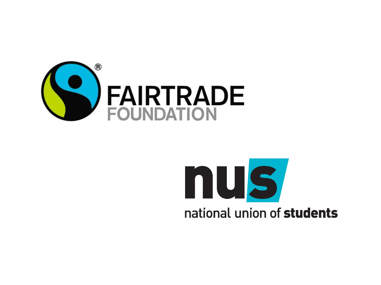

# nus national union of students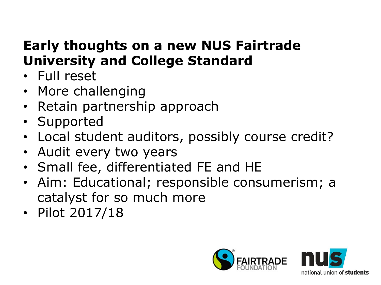### **Early thoughts on a new NUS Fairtrade University and College Standard**

- Full reset
- More challenging
- Retain partnership approach
- Supported
- Local student auditors, possibly course credit?
- Audit every two years
- Small fee, differentiated FE and HE
- Aim: Educational; responsible consumerism; a catalyst for so much more
- Pilot 2017/18



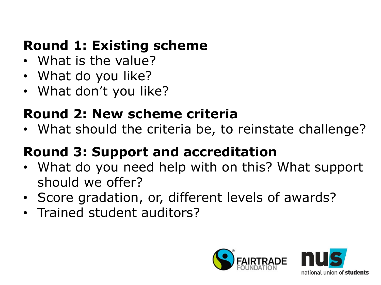### **Round 1: Existing scheme**

- What is the value?
- What do you like?
- What don't you like?

## **Round 2: New scheme criteria**

• What should the criteria be, to reinstate challenge?

### **Round 3: Support and accreditation**

- What do you need help with on this? What support should we offer?
- Score gradation, or, different levels of awards?
- Trained student auditors?



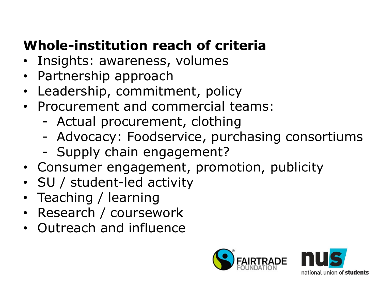### **Whole-institution reach of criteria**

- Insights: awareness, volumes
- Partnership approach
- Leadership, commitment, policy
- Procurement and commercial teams:
	- Actual procurement, clothing
	- Advocacy: Foodservice, purchasing consortiums
	- Supply chain engagement?
- Consumer engagement, promotion, publicity
- SU / student-led activity
- Teaching / learning
- Research / coursework
- Outreach and influence

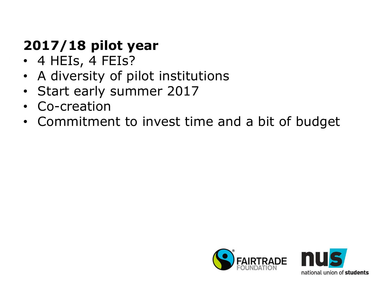## **2017/18 pilot year**

- 4 HEIs, 4 FEIs?
- A diversity of pilot institutions
- Start early summer 2017
- Co-creation
- Commitment to invest time and a bit of budget